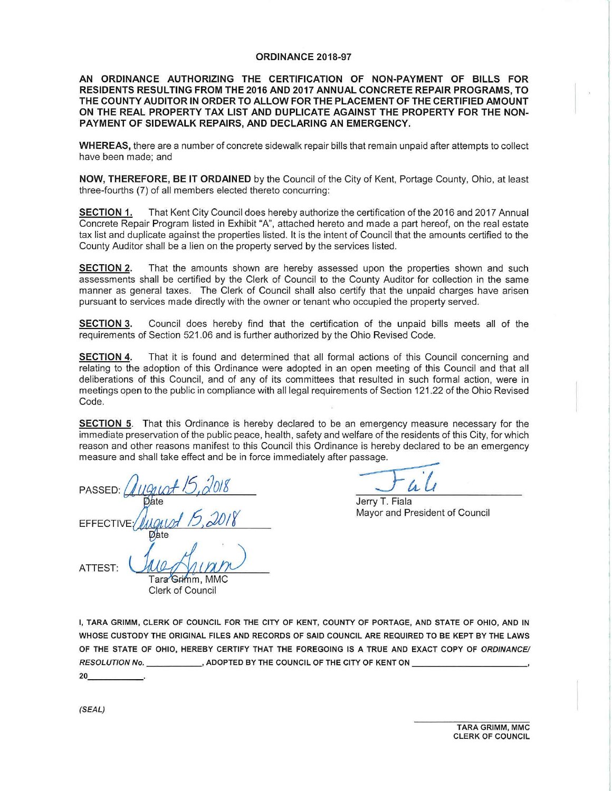## **ORDINANCE 2018-97**

## **AN ORDINANCE AUTHORIZING THE CERTIFICATION OF NON-PAYMENT OF BILLS FOR RESIDENTS RESULTING FROM THE 2016 AND 2017 ANNUAL CONCRETE REPAIR PROGRAMS, TO THE COUNTY AUDITOR IN ORDER TO ALLOW FOR THE PLACEMENT OF THE CERTIFIED AMOUNT ON THE REAL PROPERTY TAX LIST AND DUPLICATE AGAINST THE PROPERTY FOR THE NON-PAYMENT OF SIDEWALK REPAIRS, AND DECLARING AN EMERGENCY.**

**WHEREAS,** there are a number of concrete sidewalk repair bills that remain unpaid after attempts to collect have been made; and

**NOW, THEREFORE, BE IT ORDAINED** by the Council of the City of Kent, Portage County, Ohio, at least three-fourths (7) of all members elected thereto concurring:

**SECTION** 1. That Kent City Council does hereby authorize the certification of the 2016 and 2017 Annual Concrete Repair Program listed in Exhibit "A", attached hereto and made a part hereof, on the real estate tax list and duplicate against the properties listed. It is the intent of Council that the amounts certified to the County Auditor shall be a lien on the property served by the services listed.

**SECTION 2.** That the amounts shown are hereby assessed upon the properties shown and such assessments shall be certified by the Clerk of Council to the County Auditor for collection in the same manner as general taxes. The Clerk of Council shall also certify that the unpaid charges have arisen pursuant to services made directly with the owner or tenant who occupied the property served.

**SECTION 3.** Council does hereby find that the certification of the unpaid bills meets all of the requirements of Section 521.06 and is further authorized by the Ohio Revised Code.

**SECTION 4.** That it is found and determined that all formal actions of this Council concerning and relating to the adoption of this Ordinance were adopted in an open meeting of this Council and that all deliberations of this Council, and of any of its committees that resulted in such formal action, were in meetings open to the public in compliance with all legal requirements of Section 121.22 of the Ohio Revised Code.

**SECTION 5.** That this Ordinance is hereby declared to be an emergency measure necessary for the immediate preservation of the public peace, health, safety and welfare of the residents of this City, for which reason and other reasons manifest to this Council this Ordinance is hereby declared to be an emergency measure and shall take effect and be in force immediately after passage.

PASSED:  $Ququst 15,2018$   $\overline{\phantom{2}31}$ **FFFFCTIV**  $Unif_{num}$ ATTEST:

Jerry T. Fiala

**Mayor and President of Council** 

Tara Grimm, MMC Clerk of Council

I, TARA GRIMM, CLERK OF COUNCIL FOR THE CITY OF KENT, COUNTY OF PORTAGE, AND STATE OF OHIO, AND IN WHOSE CUSTODY THE ORIGINAL FILES AND RECORDS OF SAID COUNCIL ARE REQUIRED TO BE KEPT BY THE LAWS OF THE STATE OF OHIO, HEREBY CERTIFY THAT THE FOREGOING IS A TRUE AND EXACT COPY OF ORDINANCE/ RESOLUTION No. \_\_\_\_ \_, ADOPTED BY THE COUNCIL OF THE CITY OF KENT ON \_\_\_\_\_ \_\_\_\_ \_, RESOLUTION No.<br>20\_\_\_\_\_\_\_\_\_\_\_\_\_\_

(SEAL)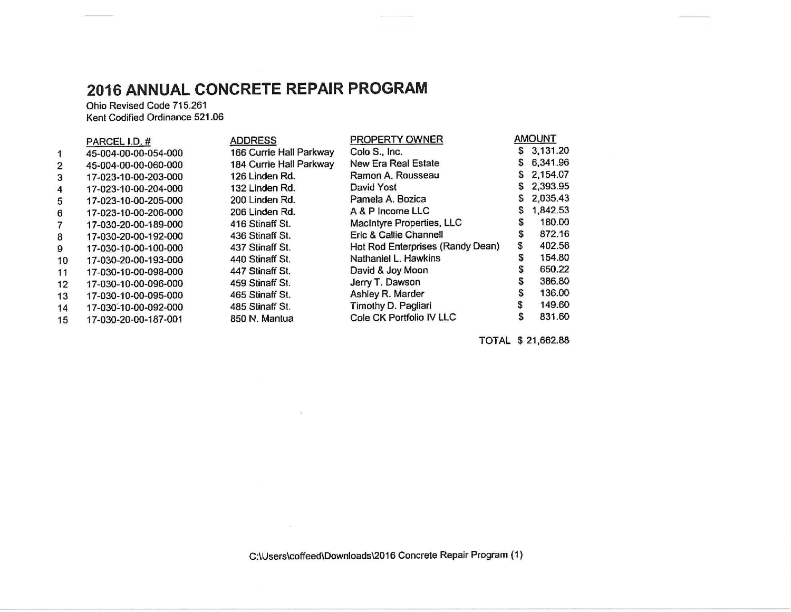## **2016 ANNUAL CONCRETE REPAIR PROGRAM**

Ohio Revised Code 715.261 Kent Codified Ordinance 521.06

|                | PARCEL I.D. #        | <b>ADDRESS</b>          | PROPERTY OWNER                   |   | <b>AMOUNT</b> |
|----------------|----------------------|-------------------------|----------------------------------|---|---------------|
|                | 45-004-00-00-054-000 | 166 Currie Hall Parkway | Colo S., Inc.                    | S | 3,131.20      |
| $\overline{2}$ | 45-004-00-00-060-000 | 184 Currie Hall Parkway | <b>New Era Real Estate</b>       | S | 6,341.96      |
| 3              | 17-023-10-00-203-000 | 126 Linden Rd.          | Ramon A. Rousseau                | S | 2,154.07      |
| 4              | 17-023-10-00-204-000 | 132 Linden Rd.          | David Yost                       | S | 2,393.95      |
| 5              | 17-023-10-00-205-000 | 200 Linden Rd.          | Pamela A. Bozica                 |   | 2,035.43      |
| 6              | 17-023-10-00-206-000 | 206 Linden Rd.          | A & P Income LLC                 |   | 1,842.53      |
|                | 17-030-20-00-189-000 | 416 Stinaff St.         | MacIntyre Properties, LLC        | S | 180.00        |
| 8              | 17-030-20-00-192-000 | 436 Stinaff St.         | Eric & Callie Channell           |   | 872.16        |
| 9              | 17-030-10-00-100-000 | 437 Stinaff St.         | Hot Rod Enterprises (Randy Dean) | S | 402.56        |
| 10             | 17-030-20-00-193-000 | 440 Stinaff St.         | Nathaniel L. Hawkins             | S | 154.80        |
| 11             | 17-030-10-00-098-000 | 447 Stinaff St.         | David & Joy Moon                 | S | 650.22        |
| 12             | 17-030-10-00-096-000 | 459 Stinaff St.         | Jerry T. Dawson                  | s | 386.80        |
| 13             | 17-030-10-00-095-000 | 465 Stinaff St.         | Ashley R. Marder                 | S | 136.00        |
| 14             | 17-030-10-00-092-000 | 485 Stinaff St.         | Timothy D. Pagliari              |   | 149.60        |
| 15             | 17-030-20-00-187-001 | 850 N. Mantua           | Cole CK Portfolio IV LLC         |   | 831.60        |

 $\mathfrak{A}^-$ 

TOTAL \$ 21 ,662.88

C:\Users\coffeed\Downloads\2016 Concrete Repair Program (1)